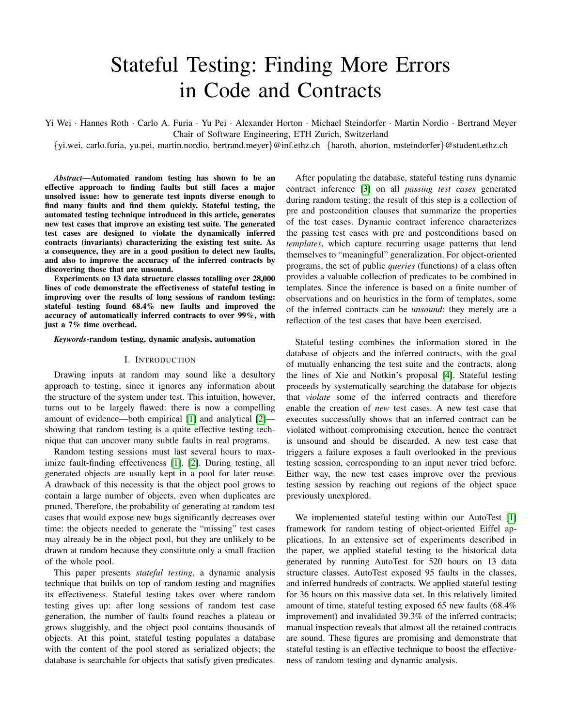# Stateful Testing: Finding More Errors in Code and Contracts

Yi Wei · Hannes Roth · Carlo A. Furia · Yu Pei · Alexander Horton · Michael Steindorfer · Martin Nordio · Bertrand Meyer Chair of Software Engineering, ETH Zurich, Switzerland

{yi.wei, carlo.furia, yu.pei, martin.nordio, bertrand.meyer}@inf.ethz.ch {haroth, ahorton, msteindorfer}@student.ethz.ch

*Abstract*—Automated random testing has shown to be an effective approach to finding faults but still faces a major unsolved issue: how to generate test inputs diverse enough to find many faults and find them quickly. Stateful testing, the automated testing technique introduced in this article, generates new test cases that improve an existing test suite. The generated test cases are designed to violate the dynamically inferred contracts (invariants) characterizing the existing test suite. As a consequence, they are in a good position to detect new faults, and also to improve the accuracy of the inferred contracts by discovering those that are unsound.

Experiments on 13 data structure classes totalling over 28,000 lines of code demonstrate the effectiveness of stateful testing in improving over the results of long sessions of random testing: stateful testing found 68.4% new faults and improved the accuracy of automatically inferred contracts to over 99%, with just a 7% time overhead.

#### *Keywords*-random testing, dynamic analysis, automation

#### I. INTRODUCTION

Drawing inputs at random may sound like a desultory approach to testing, since it ignores any information about the structure of the system under test. This intuition, however, turns out to be largely flawed: there is now a compelling amount of evidence—both empirical [\[1\]](#page-3-0) and analytical [\[2\]](#page-3-1) showing that random testing is a quite effective testing technique that can uncover many subtle faults in real programs.

Random testing sessions must last several hours to maximize fault-finding effectiveness [\[1\]](#page-3-0), [\[2\]](#page-3-1). During testing, all generated objects are usually kept in a pool for later reuse. A drawback of this necessity is that the object pool grows to contain a large number of objects, even when duplicates are pruned. Therefore, the probability of generating at random test cases that would expose new bugs significantly decreases over time: the objects needed to generate the "missing" test cases may already be in the object pool, but they are unlikely to be drawn at random because they constitute only a small fraction of the whole pool.

This paper presents *stateful testing*, a dynamic analysis technique that builds on top of random testing and magnifies its effectiveness. Stateful testing takes over where random testing gives up: after long sessions of random test case generation, the number of faults found reaches a plateau or grows sluggishly, and the object pool contains thousands of objects. At this point, stateful testing populates a database with the content of the pool stored as serialized objects; the database is searchable for objects that satisfy given predicates.

After populating the database, stateful testing runs dynamic contract inference [\[3\]](#page-3-2) on all *passing test cases* generated during random testing; the result of this step is a collection of pre and postcondition clauses that summarize the properties of the test cases. Dynamic contract inference characterizes the passing test cases with pre and postconditions based on *templates*, which capture recurring usage patterns that lend themselves to "meaningful" generalization. For object-oriented programs, the set of public *queries* (functions) of a class often provides a valuable collection of predicates to be combined in templates. Since the inference is based on a finite number of observations and on heuristics in the form of templates, some of the inferred contracts can be *unsound*: they merely are a reflection of the test cases that have been exercised.

Stateful testing combines the information stored in the database of objects and the inferred contracts, with the goal of mutually enhancing the test suite and the contracts, along the lines of Xie and Notkin's proposal [\[4\]](#page-3-3). Stateful testing proceeds by systematically searching the database for objects that *violate* some of the inferred contracts and therefore enable the creation of *new* test cases. A new test case that executes successfully shows that an inferred contract can be violated without compromising execution, hence the contract is unsound and should be discarded. A new test case that triggers a failure exposes a fault overlooked in the previous testing session, corresponding to an input never tried before. Either way, the new test cases improve over the previous testing session by reaching out regions of the object space previously unexplored.

We implemented stateful testing within our AutoTest [\[1\]](#page-3-0) framework for random testing of object-oriented Eiffel applications. In an extensive set of experiments described in the paper, we applied stateful testing to the historical data generated by running AutoTest for 520 hours on 13 data structure classes. AutoTest exposed 95 faults in the classes, and inferred hundreds of contracts. We applied stateful testing for 36 hours on this massive data set. In this relatively limited amount of time, stateful testing exposed 65 new faults (68.4% improvement) and invalidated 39.3% of the inferred contracts; manual inspection reveals that almost all the retained contracts are sound. These figures are promising and demonstrate that stateful testing is an effective technique to boost the effectiveness of random testing and dynamic analysis.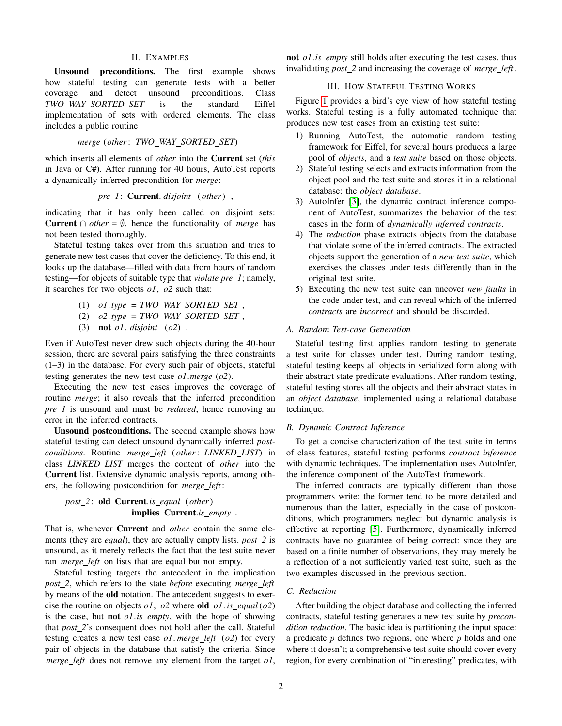### II. EXAMPLES

Unsound preconditions. The first example shows how stateful testing can generate tests with a better coverage and detect unsound preconditions. Class *TWO WAY SORTED SET* is the standard Eiffel implementation of sets with ordered elements. The class includes a public routine

## *merge* (*other*: *TWO WAY SORTED SET*)

which inserts all elements of *other* into the Current set (*this* in Java or C#). After running for 40 hours, AutoTest reports a dynamically inferred precondition for *merge*:

*pre 1*: Current. *disjoint* ( *other*) ,

indicating that it has only been called on disjoint sets: Current ∩ *other* =  $\emptyset$ , hence the functionality of *merge* has not been tested thoroughly.

Stateful testing takes over from this situation and tries to generate new test cases that cover the deficiency. To this end, it looks up the database—filled with data from hours of random testing—for objects of suitable type that *violate pre 1*; namely, it searches for two objects *o1*, *o2* such that:

- $(1)$  *ol.type* = *TWO WAY SORTED SET*,
- $(2)$   $o2.\text{type} = \text{Two\_WAY\_SORTED\_SET}$ ,
- (3) not *o1*. *disjoint* (*o2*) .

Even if AutoTest never drew such objects during the 40-hour session, there are several pairs satisfying the three constraints (1–3) in the database. For every such pair of objects, stateful testing generates the new test case *o1*.*merge* (*o2*).

Executing the new test cases improves the coverage of routine *merge*; it also reveals that the inferred precondition *pre 1* is unsound and must be *reduced*, hence removing an error in the inferred contracts.

Unsound postconditions. The second example shows how stateful testing can detect unsound dynamically inferred *postconditions*. Routine *merge left* ( *other*: *LINKED LIST*) in class *LINKED LIST* merges the content of *other* into the Current list. Extensive dynamic analysis reports, among others, the following postcondition for *merge left*:

## *post 2*: old Current.*is equal* ( *other*) implies Current.*is empty* .

That is, whenever Current and *other* contain the same elements (they are *equal*), they are actually empty lists. *post 2* is unsound, as it merely reflects the fact that the test suite never ran *merge left* on lists that are equal but not empty.

Stateful testing targets the antecedent in the implication *post 2*, which refers to the state *before* executing *merge left* by means of the old notation. The antecedent suggests to exercise the routine on objects  $o1$ ,  $o2$  where old  $o1$ . *is equal*( $o2$ ) is the case, but not *o1*.*is empty*, with the hope of showing that *post 2*'s consequent does not hold after the call. Stateful testing creates a new test case *o1*. *merge left* (*o2*) for every pair of objects in the database that satisfy the criteria. Since *merge\_left* does not remove any element from the target o1, not *o1*.*is empty* still holds after executing the test cases, thus invalidating *post 2* and increasing the coverage of *merge left*.

## III. HOW STATEFUL TESTING WORKS

Figure [1](#page-2-0) provides a bird's eye view of how stateful testing works. Stateful testing is a fully automated technique that produces new test cases from an existing test suite:

- 1) Running AutoTest, the automatic random testing framework for Eiffel, for several hours produces a large pool of *objects*, and a *test suite* based on those objects.
- 2) Stateful testing selects and extracts information from the object pool and the test suite and stores it in a relational database: the *object database*.
- 3) AutoInfer [\[3\]](#page-3-2), the dynamic contract inference component of AutoTest, summarizes the behavior of the test cases in the form of *dynamically inferred contracts*.
- 4) The *reduction* phase extracts objects from the database that violate some of the inferred contracts. The extracted objects support the generation of a *new test suite*, which exercises the classes under tests differently than in the original test suite.
- 5) Executing the new test suite can uncover *new faults* in the code under test, and can reveal which of the inferred *contracts* are *incorrect* and should be discarded.

## *A. Random Test-case Generation*

Stateful testing first applies random testing to generate a test suite for classes under test. During random testing, stateful testing keeps all objects in serialized form along with their abstract state predicate evaluations. After random testing, stateful testing stores all the objects and their abstract states in an *object database*, implemented using a relational database techinque.

## *B. Dynamic Contract Inference*

To get a concise characterization of the test suite in terms of class features, stateful testing performs *contract inference* with dynamic techniques. The implementation uses AutoInfer, the inference component of the AutoTest framework.

The inferred contracts are typically different than those programmers write: the former tend to be more detailed and numerous than the latter, especially in the case of postconditions, which programmers neglect but dynamic analysis is effective at reporting [\[5\]](#page-3-4). Furthermore, dynamically inferred contracts have no guarantee of being correct: since they are based on a finite number of observations, they may merely be a reflection of a not sufficiently varied test suite, such as the two examples discussed in the previous section.

# *C. Reduction*

After building the object database and collecting the inferred contracts, stateful testing generates a new test suite by *precondition reduction*. The basic idea is partitioning the input space: a predicate  $p$  defines two regions, one where  $p$  holds and one where it doesn't; a comprehensive test suite should cover every region, for every combination of "interesting" predicates, with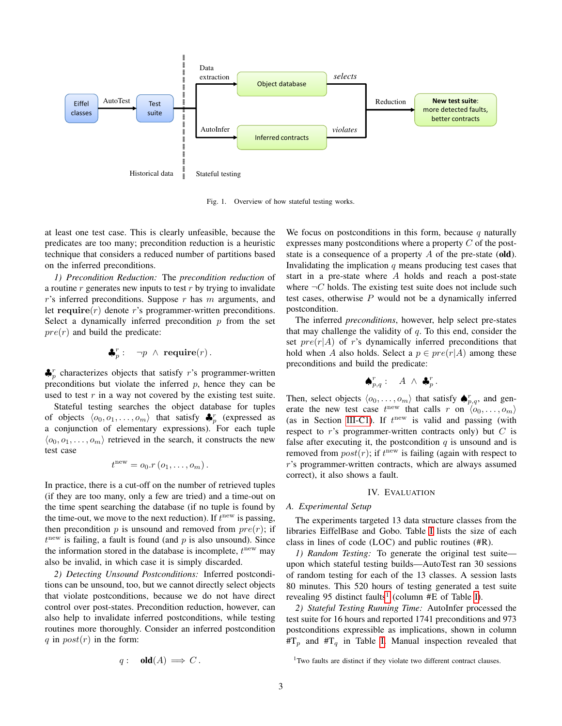

<span id="page-2-0"></span>Fig. 1. Overview of how stateful testing works.

at least one test case. This is clearly unfeasible, because the predicates are too many; precondition reduction is a heuristic technique that considers a reduced number of partitions based on the inferred preconditions.

<span id="page-2-1"></span>*1) Precondition Reduction:* The *precondition reduction* of a routine  $r$  generates new inputs to test  $r$  by trying to invalidate  $r$ 's inferred preconditions. Suppose  $r$  has  $m$  arguments, and let require $(r)$  denote r's programmer-written preconditions. Select a dynamically inferred precondition  $p$  from the set  $pre(r)$  and build the predicate:

$$
\clubsuit_p^r: \neg p \wedge \text{require}(r).
$$

 $\clubsuit_p^r$  characterizes objects that satisfy r's programmer-written preconditions but violate the inferred  $p$ , hence they can be used to test  $r$  in a way not covered by the existing test suite.

Stateful testing searches the object database for tuples of objects  $\langle o_0, o_1, \ldots, o_m \rangle$  that satisfy  $\clubsuit_p^r$  (expressed as a conjunction of elementary expressions). For each tuple  $\langle o_0, o_1, \ldots, o_m \rangle$  retrieved in the search, it constructs the new test case

$$
t^{\text{new}} = o_0.r\left(o_1, \ldots, o_m\right).
$$

In practice, there is a cut-off on the number of retrieved tuples (if they are too many, only a few are tried) and a time-out on the time spent searching the database (if no tuple is found by the time-out, we move to the next reduction). If  $t^{new}$  is passing, then precondition p is unsound and removed from  $pre(r)$ ; if  $t^{new}$  is failing, a fault is found (and  $p$  is also unsound). Since the information stored in the database is incomplete,  $t^{new}$  may also be invalid, in which case it is simply discarded.

<span id="page-2-3"></span>*2) Detecting Unsound Postconditions:* Inferred postconditions can be unsound, too, but we cannot directly select objects that violate postconditions, because we do not have direct control over post-states. Precondition reduction, however, can also help to invalidate inferred postconditions, while testing routines more thoroughly. Consider an inferred postcondition q in  $post(r)$  in the form:

$$
q: \quad \textbf{old}(A) \implies C.
$$

We focus on postconditions in this form, because  $q$  naturally expresses many postconditions where a property C of the poststate is a consequence of a property A of the pre-state (old). Invalidating the implication  $q$  means producing test cases that start in a pre-state where A holds and reach a post-state where  $\neg C$  holds. The existing test suite does not include such test cases, otherwise  $P$  would not be a dynamically inferred postcondition.

The inferred *preconditions*, however, help select pre-states that may challenge the validity of  $q$ . To this end, consider the set  $pre(r|A)$  of r's dynamically inferred preconditions that hold when A also holds. Select a  $p \in pre(r|A)$  among these preconditions and build the predicate:

$$
\spadesuit_{p,q}^r: A \wedge \clubsuit_p^r.
$$

Then, select objects  $\langle o_0, \ldots, o_m \rangle$  that satisfy  $\spadesuit_{p,q}^r$ , and generate the new test case  $t^{\text{new}}$  that calls r on  $\langle o_0, \ldots, o_m \rangle$ (as in Section [III-C1\)](#page-2-1). If  $t^{new}$  is valid and passing (with respect to r's programmer-written contracts only) but  $C$  is false after executing it, the postcondition  $q$  is unsound and is removed from  $post(r)$ ; if  $t^{new}$  is failing (again with respect to r's programmer-written contracts, which are always assumed correct), it also shows a fault.

## IV. EVALUATION

#### *A. Experimental Setup*

The experiments targeted 13 data structure classes from the libraries EiffelBase and Gobo. Table [I](#page-3-5) lists the size of each class in lines of code (LOC) and public routines (#R).

*1) Random Testing:* To generate the original test suite upon which stateful testing builds—AutoTest ran 30 sessions of random testing for each of the 13 classes. A session lasts 80 minutes. This 520 hours of testing generated a test suite revealing 95 distinct faults<sup>[1](#page-2-2)</sup> (column #E of Table [I\)](#page-3-5).

*2) Stateful Testing Running Time:* AutoInfer processed the test suite for 16 hours and reported 1741 preconditions and 973 postconditions expressible as implications, shown in column  $\#T_p$  and  $\#T_q$  in Table [I.](#page-3-5) Manual inspection revealed that

<span id="page-2-2"></span><sup>&</sup>lt;sup>1</sup>Two faults are distinct if they violate two different contract clauses.